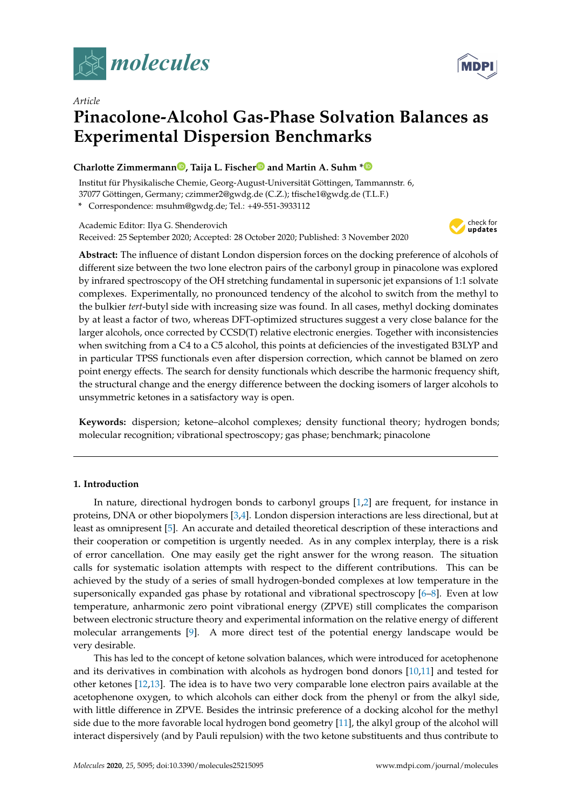

*Article*



# **Pinacolone-Alcohol Gas-Phase Solvation Balances as Experimental Dispersion Benchmarks**

## **Charlotte Zimmerman[n](https://orcid.org/0000-0001-7741-500X) , Taija L. Fische[r](https://orcid.org/0000-0003-2050-3628) and Martin A. Suhm [\\*](https://orcid.org/0000-0001-8841-7705)**

Institut für Physikalische Chemie, Georg-August-Universität Göttingen, Tammannstr. 6, 37077 Göttingen, Germany; czimmer2@gwdg.de (C.Z.); tfische1@gwdg.de (T.L.F.)

**\*** Correspondence: msuhm@gwdg.de; Tel.: +49-551-3933112

Academic Editor: Ilya G. Shenderovich Received: 25 September 2020; Accepted: 28 October 2020; Published: 3 November 2020



**Abstract:** The influence of distant London dispersion forces on the docking preference of alcohols of different size between the two lone electron pairs of the carbonyl group in pinacolone was explored by infrared spectroscopy of the OH stretching fundamental in supersonic jet expansions of 1:1 solvate complexes. Experimentally, no pronounced tendency of the alcohol to switch from the methyl to the bulkier *tert*-butyl side with increasing size was found. In all cases, methyl docking dominates by at least a factor of two, whereas DFT-optimized structures suggest a very close balance for the larger alcohols, once corrected by CCSD(T) relative electronic energies. Together with inconsistencies when switching from a C4 to a C5 alcohol, this points at deficiencies of the investigated B3LYP and in particular TPSS functionals even after dispersion correction, which cannot be blamed on zero point energy effects. The search for density functionals which describe the harmonic frequency shift, the structural change and the energy difference between the docking isomers of larger alcohols to unsymmetric ketones in a satisfactory way is open.

**Keywords:** dispersion; ketone–alcohol complexes; density functional theory; hydrogen bonds; molecular recognition; vibrational spectroscopy; gas phase; benchmark; pinacolone

## **1. Introduction**

In nature, directional hydrogen bonds to carbonyl groups [\[1,](#page-11-0)[2\]](#page-11-1) are frequent, for instance in proteins, DNA or other biopolymers [\[3](#page-11-2)[,4\]](#page-11-3). London dispersion interactions are less directional, but at least as omnipresent [\[5\]](#page-11-4). An accurate and detailed theoretical description of these interactions and their cooperation or competition is urgently needed. As in any complex interplay, there is a risk of error cancellation. One may easily get the right answer for the wrong reason. The situation calls for systematic isolation attempts with respect to the different contributions. This can be achieved by the study of a series of small hydrogen-bonded complexes at low temperature in the supersonically expanded gas phase by rotational and vibrational spectroscopy [\[6–](#page-11-5)[8\]](#page-12-0). Even at low temperature, anharmonic zero point vibrational energy (ZPVE) still complicates the comparison between electronic structure theory and experimental information on the relative energy of different molecular arrangements [\[9\]](#page-12-1). A more direct test of the potential energy landscape would be very desirable.

This has led to the concept of ketone solvation balances, which were introduced for acetophenone and its derivatives in combination with alcohols as hydrogen bond donors [\[10](#page-12-2)[,11\]](#page-12-3) and tested for other ketones [\[12](#page-12-4)[,13\]](#page-12-5). The idea is to have two very comparable lone electron pairs available at the acetophenone oxygen, to which alcohols can either dock from the phenyl or from the alkyl side, with little difference in ZPVE. Besides the intrinsic preference of a docking alcohol for the methyl side due to the more favorable local hydrogen bond geometry [\[11\]](#page-12-3), the alkyl group of the alcohol will interact dispersively (and by Pauli repulsion) with the two ketone substituents and thus contribute to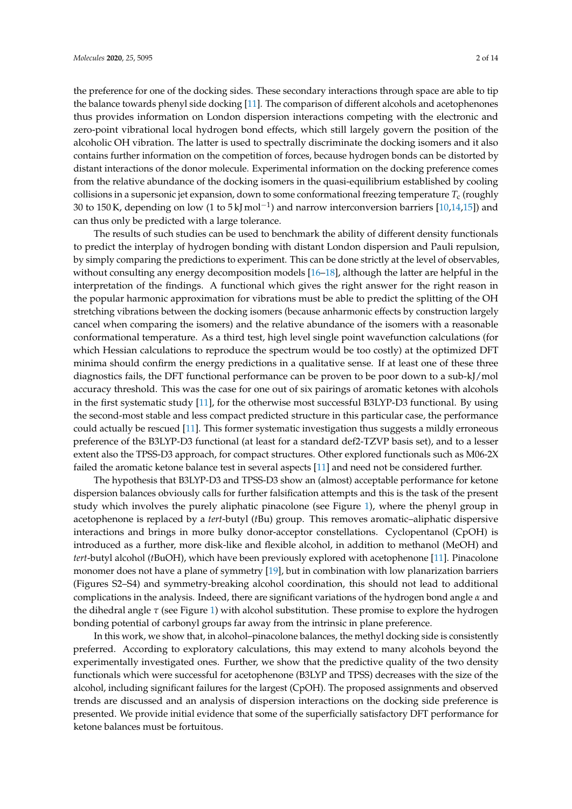can thus only be predicted with a large tolerance.

the preference for one of the docking sides. These secondary interactions through space are able to tip the balance towards phenyl side docking [\[11\]](#page-12-3). The comparison of different alcohols and acetophenones thus provides information on London dispersion interactions competing with the electronic and zero-point vibrational local hydrogen bond effects, which still largely govern the position of the alcoholic OH vibration. The latter is used to spectrally discriminate the docking isomers and it also contains further information on the competition of forces, because hydrogen bonds can be distorted by distant interactions of the donor molecule. Experimental information on the docking preference comes from the relative abundance of the docking isomers in the quasi-equilibrium established by cooling collisions in a supersonic jet expansion, down to some conformational freezing temperature  $T_c$  (roughly 30 to 150 K, depending on low (1 to 5 kJ mol<sup>-1</sup>) and narrow interconversion barriers [\[10,](#page-12-2)[14,](#page-12-6)[15\]](#page-12-7)) and

The results of such studies can be used to benchmark the ability of different density functionals to predict the interplay of hydrogen bonding with distant London dispersion and Pauli repulsion, by simply comparing the predictions to experiment. This can be done strictly at the level of observables, without consulting any energy decomposition models [\[16–](#page-12-8)[18\]](#page-12-9), although the latter are helpful in the interpretation of the findings. A functional which gives the right answer for the right reason in the popular harmonic approximation for vibrations must be able to predict the splitting of the OH stretching vibrations between the docking isomers (because anharmonic effects by construction largely cancel when comparing the isomers) and the relative abundance of the isomers with a reasonable conformational temperature. As a third test, high level single point wavefunction calculations (for which Hessian calculations to reproduce the spectrum would be too costly) at the optimized DFT minima should confirm the energy predictions in a qualitative sense. If at least one of these three diagnostics fails, the DFT functional performance can be proven to be poor down to a sub-kJ/mol accuracy threshold. This was the case for one out of six pairings of aromatic ketones with alcohols in the first systematic study [\[11\]](#page-12-3), for the otherwise most successful B3LYP-D3 functional. By using the second-most stable and less compact predicted structure in this particular case, the performance could actually be rescued [\[11\]](#page-12-3). This former systematic investigation thus suggests a mildly erroneous preference of the B3LYP-D3 functional (at least for a standard def2-TZVP basis set), and to a lesser extent also the TPSS-D3 approach, for compact structures. Other explored functionals such as M06-2X failed the aromatic ketone balance test in several aspects [\[11\]](#page-12-3) and need not be considered further.

The hypothesis that B3LYP-D3 and TPSS-D3 show an (almost) acceptable performance for ketone dispersion balances obviously calls for further falsification attempts and this is the task of the present study which involves the purely aliphatic pinacolone (see Figure [1\)](#page-2-0), where the phenyl group in acetophenone is replaced by a *tert*-butyl (*t*Bu) group. This removes aromatic–aliphatic dispersive interactions and brings in more bulky donor-acceptor constellations. Cyclopentanol (CpOH) is introduced as a further, more disk-like and flexible alcohol, in addition to methanol (MeOH) and *tert*-butyl alcohol (*t*BuOH), which have been previously explored with acetophenone [\[11\]](#page-12-3). Pinacolone monomer does not have a plane of symmetry [\[19\]](#page-12-10), but in combination with low planarization barriers (Figures S2–S4) and symmetry-breaking alcohol coordination, this should not lead to additional complications in the analysis. Indeed, there are significant variations of the hydrogen bond angle *α* and the dihedral angle *τ* (see Figure [1\)](#page-2-0) with alcohol substitution. These promise to explore the hydrogen bonding potential of carbonyl groups far away from the intrinsic in plane preference.

In this work, we show that, in alcohol–pinacolone balances, the methyl docking side is consistently preferred. According to exploratory calculations, this may extend to many alcohols beyond the experimentally investigated ones. Further, we show that the predictive quality of the two density functionals which were successful for acetophenone (B3LYP and TPSS) decreases with the size of the alcohol, including significant failures for the largest (CpOH). The proposed assignments and observed trends are discussed and an analysis of dispersion interactions on the docking side preference is presented. We provide initial evidence that some of the superficially satisfactory DFT performance for ketone balances must be fortuitous.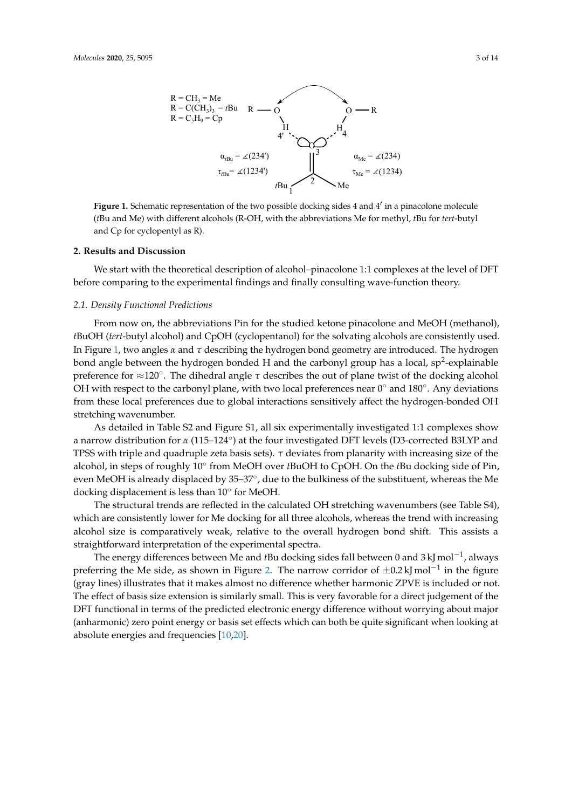<span id="page-2-0"></span>

Figure 1. Schematic representation of the two possible docking sides 4 and 4' in a pinacolone molecule (*t*Bu and Me) with different alcohols (R-OH, with the abbreviations Me for methyl, *t*Bu for *tert*-butyl and Cp for cyclopentyl as R).

#### **2. Results and Discussion**

We start with the theoretical description of alcohol–pinacolone 1:1 complexes at the level of DFT before comparing to the experimental findings and finally consulting wave-function theory.

### *2.1. Density Functional Predictions*

From now on, the abbreviations Pin for the studied ketone pinacolone and MeOH (methanol), *t*BuOH (*tert*-butyl alcohol) and CpOH (cyclopentanol) for the solvating alcohols are consistently used. In Figure [1,](#page-2-0) two angles *α* and *τ* describing the hydrogen bond geometry are introduced. The hydrogen bond angle between the hydrogen bonded H and the carbonyl group has a local,  $sp^2$ -explainable preference for ≈120◦ . The dihedral angle *τ* describes the out of plane twist of the docking alcohol OH with respect to the carbonyl plane, with two local preferences near 0° and 180°. Any deviations from these local preferences due to global interactions sensitively affect the hydrogen-bonded OH stretching wavenumber.

As detailed in Table S2 and Figure S1, all six experimentally investigated 1:1 complexes show a narrow distribution for *α* (115–124◦ ) at the four investigated DFT levels (D3-corrected B3LYP and TPSS with triple and quadruple zeta basis sets). *τ* deviates from planarity with increasing size of the alcohol, in steps of roughly 10◦ from MeOH over *t*BuOH to CpOH. On the *t*Bu docking side of Pin, even MeOH is already displaced by 35–37°, due to the bulkiness of the substituent, whereas the Me docking displacement is less than 10° for MeOH.

The structural trends are reflected in the calculated OH stretching wavenumbers (see Table S4), which are consistently lower for Me docking for all three alcohols, whereas the trend with increasing alcohol size is comparatively weak, relative to the overall hydrogen bond shift. This assists a straightforward interpretation of the experimental spectra.

The energy differences between Me and *t*Bu docking sides fall between 0 and 3 kJ mol−<sup>1</sup> , always preferring the Me side, as shown in Figure [2.](#page-3-0) The narrow corridor of  $\pm$ 0.2 kJ mol $^{-1}$  in the figure (gray lines) illustrates that it makes almost no difference whether harmonic ZPVE is included or not. The effect of basis size extension is similarly small. This is very favorable for a direct judgement of the DFT functional in terms of the predicted electronic energy difference without worrying about major (anharmonic) zero point energy or basis set effects which can both be quite significant when looking at absolute energies and frequencies [\[10,](#page-12-2)[20\]](#page-12-11).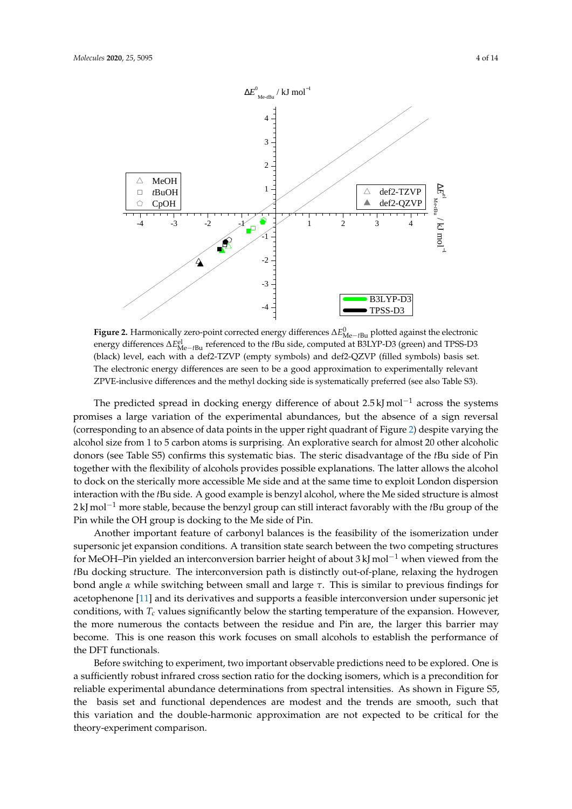

<span id="page-3-0"></span>

**Figure 2.** Harmonically zero-point corrected energy differences ∆*E* 0 Me−*t*Bu plotted against the electronic energy differences ∆*E*<sup>el</sup><sub>Me−*t*Bu</sub> referenced to the *t*Bu side, computed at B3LYP-D3 (green) and TPSS-D3 (black) level, each with a def2-TZVP (empty symbols) and def2-QZVP (filled symbols) basis set. The electronic energy differences are seen to be a good approximation to experimentally relevant ZPVE-inclusive differences and the methyl docking side is systematically preferred (see also Table S3).

The predicted spread in docking energy difference of about 2.5 kJ mol<sup>-1</sup> across the systems promises a large variation of the experimental abundances, but the absence of a sign reversal (corresponding to an absence of data points in the upper right quadrant of Figure [2\)](#page-3-0) despite varying the alcohol size from 1 to 5 carbon atoms is surprising. An explorative search for almost 20 other alcoholic donors (see Table S5) confirms this systematic bias. The steric disadvantage of the *t*Bu side of Pin together with the flexibility of alcohols provides possible explanations. The latter allows the alcohol to dock on the sterically more accessible Me side and at the same time to exploit London dispersion interaction with the *t*Bu side. A good example is benzyl alcohol, where the Me sided structure is almost 2 kJ mol−<sup>1</sup> more stable, because the benzyl group can still interact favorably with the *t*Bu group of the Pin while the OH group is docking to the Me side of Pin.

Another important feature of carbonyl balances is the feasibility of the isomerization under supersonic jet expansion conditions. A transition state search between the two competing structures for MeOH–Pin yielded an interconversion barrier height of about 3 kJ mol−<sup>1</sup> when viewed from the *t*Bu docking structure. The interconversion path is distinctly out-of-plane, relaxing the hydrogen bond angle *α* while switching between small and large *τ*. This is similar to previous findings for acetophenone [\[11\]](#page-12-3) and its derivatives and supports a feasible interconversion under supersonic jet conditions, with *T<sup>c</sup>* values significantly below the starting temperature of the expansion. However, the more numerous the contacts between the residue and Pin are, the larger this barrier may become. This is one reason this work focuses on small alcohols to establish the performance of the DFT functionals.

Before switching to experiment, two important observable predictions need to be explored. One is a sufficiently robust infrared cross section ratio for the docking isomers, which is a precondition for reliable experimental abundance determinations from spectral intensities. As shown in Figure S5, the basis set and functional dependences are modest and the trends are smooth, such that this variation and the double-harmonic approximation are not expected to be critical for the theory-experiment comparison.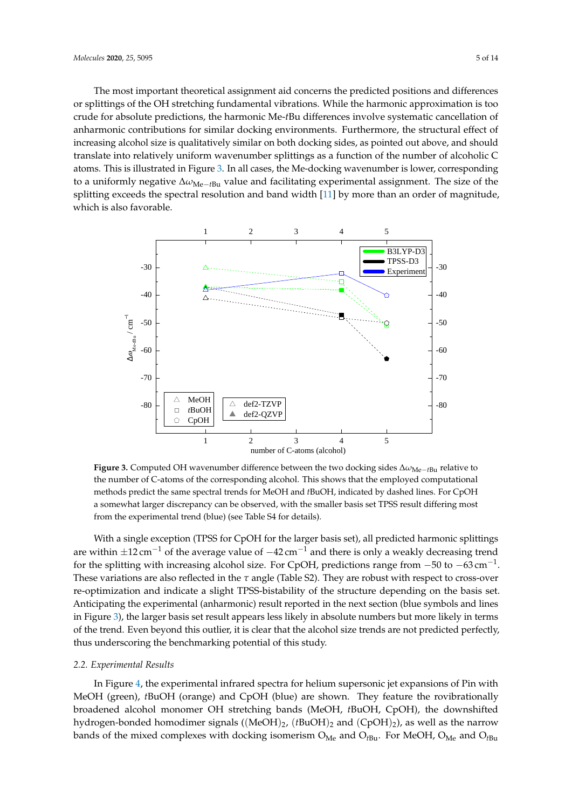The most important theoretical assignment aid concerns the predicted positions and differences or splittings of the OH stretching fundamental vibrations. While the harmonic approximation is too crude for absolute predictions, the harmonic Me-*t*Bu differences involve systematic cancellation of anharmonic contributions for similar docking environments. Furthermore, the structural effect of increasing alcohol size is qualitatively similar on both docking sides, as pointed out above, and should translate into relatively uniform wavenumber splittings as a function of the number of alcoholic C atoms. This is illustrated in Figure [3.](#page-4-0) In all cases, the Me-docking wavenumber is lower, corresponding to a uniformly negative Δ $ω_{Me-tBu}$  value and facilitating experimental assignment. The size of the splitting exceeds the spectral resolution and band width [\[11\]](#page-12-3) by more than an order of magnitude, which is also favorable.

<span id="page-4-0"></span>

**Figure 3.** Computed OH wavenumber difference between the two docking sides ∆*ω*Me−*t*Bu relative to the number of C-atoms of the corresponding alcohol. This shows that the employed computational methods predict the same spectral trends for MeOH and *t*BuOH, indicated by dashed lines. For CpOH a somewhat larger discrepancy can be observed, with the smaller basis set TPSS result differing most from the experimental trend (blue) (see Table S4 for details).

With a single exception (TPSS for CpOH for the larger basis set), all predicted harmonic splittings are within  $\pm 12$  cm<sup>-1</sup> of the average value of  $-42$  cm<sup>-1</sup> and there is only a weakly decreasing trend for the splitting with increasing alcohol size. For CpOH, predictions range from  $-50$  to  $-63$  cm<sup>-1</sup>. These variations are also reflected in the *τ* angle (Table S2). They are robust with respect to cross-over re-optimization and indicate a slight TPSS-bistability of the structure depending on the basis set. Anticipating the experimental (anharmonic) result reported in the next section (blue symbols and lines in Figure [3\)](#page-4-0), the larger basis set result appears less likely in absolute numbers but more likely in terms of the trend. Even beyond this outlier, it is clear that the alcohol size trends are not predicted perfectly, thus underscoring the benchmarking potential of this study.

## *2.2. Experimental Results*

In Figure [4,](#page-5-0) the experimental infrared spectra for helium supersonic jet expansions of Pin with MeOH (green), *t*BuOH (orange) and CpOH (blue) are shown. They feature the rovibrationally broadened alcohol monomer OH stretching bands (MeOH, *t*BuOH, CpOH), the downshifted hydrogen-bonded homodimer signals ((MeOH)<sub>2</sub>, (*t*BuOH)<sub>2</sub> and (CpOH)<sub>2</sub>), as well as the narrow bands of the mixed complexes with docking isomerism O<sub>Me</sub> and O<sub>tBu</sub>. For MeOH, O<sub>Me</sub> and O<sub>tBu</sub>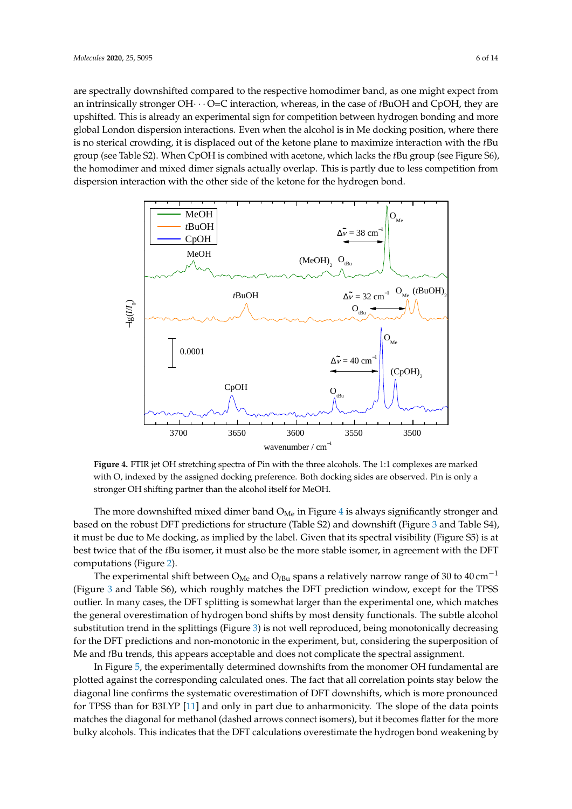are spectrally downshifted compared to the respective homodimer band, as one might expect from an intrinsically stronger OH· · · O=C interaction, whereas, in the case of *t*BuOH and CpOH, they are upshifted. This is already an experimental sign for competition between hydrogen bonding and more global London dispersion interactions. Even when the alcohol is in Me docking position, where there is no sterical crowding, it is displaced out of the ketone plane to maximize interaction with the *t*Bu group (see Table S2). When CpOH is combined with acetone, which lacks the *t*Bu group (see Figure S6), the homodimer and mixed dimer signals actually overlap. This is partly due to less competition from dispersion interaction with the other side of the ketone for the hydrogen bond.

<span id="page-5-0"></span>

**Figure 4.** FTIR jet OH stretching spectra of Pin with the three alcohols. The 1:1 complexes are marked with O, indexed by the assigned docking preference. Both docking sides are observed. Pin is only a stronger OH shifting partner than the alcohol itself for MeOH.

The more downshifted mixed dimer band  $O_{Me}$  in Figure [4](#page-5-0) is always significantly stronger and based on the robust DFT predictions for structure (Table S2) and downshift (Figure [3](#page-4-0) and Table S4), it must be due to Me docking, as implied by the label. Given that its spectral visibility (Figure S5) is at best twice that of the *t*Bu isomer, it must also be the more stable isomer, in agreement with the DFT computations (Figure [2\)](#page-3-0).

The experimental shift between O<sub>Me</sub> and O<sub>tBu</sub> spans a relatively narrow range of 30 to 40 cm<sup>-1</sup> (Figure [3](#page-4-0) and Table S6), which roughly matches the DFT prediction window, except for the TPSS outlier. In many cases, the DFT splitting is somewhat larger than the experimental one, which matches the general overestimation of hydrogen bond shifts by most density functionals. The subtle alcohol substitution trend in the splittings (Figure [3\)](#page-4-0) is not well reproduced, being monotonically decreasing for the DFT predictions and non-monotonic in the experiment, but, considering the superposition of Me and *t*Bu trends, this appears acceptable and does not complicate the spectral assignment.

In Figure [5,](#page-6-0) the experimentally determined downshifts from the monomer OH fundamental are plotted against the corresponding calculated ones. The fact that all correlation points stay below the diagonal line confirms the systematic overestimation of DFT downshifts, which is more pronounced for TPSS than for B3LYP [\[11\]](#page-12-3) and only in part due to anharmonicity. The slope of the data points matches the diagonal for methanol (dashed arrows connect isomers), but it becomes flatter for the more bulky alcohols. This indicates that the DFT calculations overestimate the hydrogen bond weakening by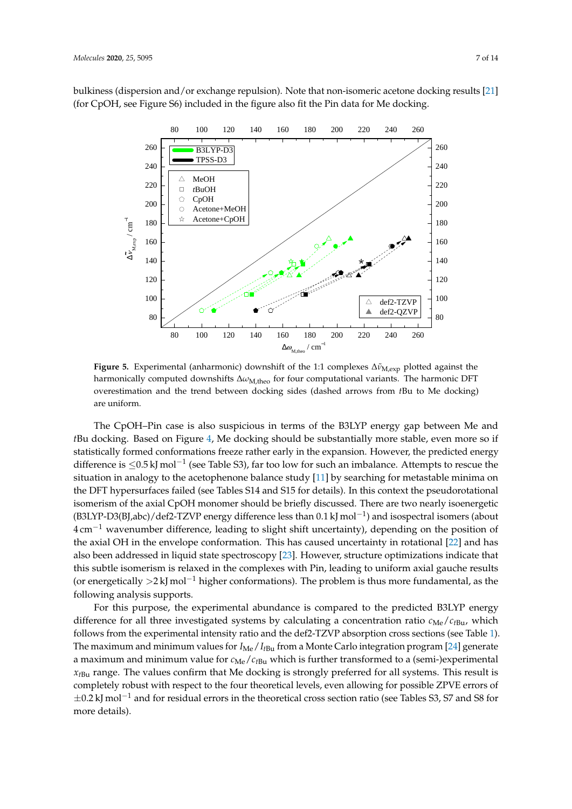<span id="page-6-0"></span>bulkiness (dispersion and/or exchange repulsion). Note that non-isomeric acetone docking results [\[21\]](#page-12-12) (for CpOH, see Figure S6) included in the figure also fit the Pin data for Me docking.



**Figure 5.** Experimental (anharmonic) downshift of the 1:1 complexes  $\Delta \tilde{\nu}_{M,exp}$  plotted against the harmonically computed downshifts  $Δω_{M,theo}$  for four computational variants. The harmonic DFT overestimation and the trend between docking sides (dashed arrows from *t*Bu to Me docking) are uniform.

The CpOH–Pin case is also suspicious in terms of the B3LYP energy gap between Me and *t*Bu docking. Based on Figure [4,](#page-5-0) Me docking should be substantially more stable, even more so if statistically formed conformations freeze rather early in the expansion. However, the predicted energy difference is  $\leq$ 0.5 kJ mol<sup>-1</sup> (see Table S3), far too low for such an imbalance. Attempts to rescue the situation in analogy to the acetophenone balance study [\[11\]](#page-12-3) by searching for metastable minima on the DFT hypersurfaces failed (see Tables S14 and S15 for details). In this context the pseudorotational isomerism of the axial CpOH monomer should be briefly discussed. There are two nearly isoenergetic (B3LYP-D3(BJ,abc)/def2-TZVP energy difference less than 0.1 kJ mol<sup>-1</sup>) and isospectral isomers (about  $4 \text{ cm}^{-1}$  wavenumber difference, leading to slight shift uncertainty), depending on the position of the axial OH in the envelope conformation. This has caused uncertainty in rotational [\[22\]](#page-12-13) and has also been addressed in liquid state spectroscopy [\[23\]](#page-12-14). However, structure optimizations indicate that this subtle isomerism is relaxed in the complexes with Pin, leading to uniform axial gauche results (or energetically  $>2$  kJ mol<sup>-1</sup> higher conformations). The problem is thus more fundamental, as the following analysis supports.

For this purpose, the experimental abundance is compared to the predicted B3LYP energy difference for all three investigated systems by calculating a concentration ratio  $c_{Me}/c_{fBu}$ , which follows from the experimental intensity ratio and the def2-TZVP absorption cross sections (see Table [1\)](#page-7-0). The maximum and minimum values for *I<sub>Me</sub>* / *I<sub>tBu</sub>* from a Monte Carlo integration program [\[24\]](#page-12-15) generate a maximum and minimum value for  $c_{Me}/c_{tBu}$  which is further transformed to a (semi-)experimental  $x_{tBu}$  range. The values confirm that Me docking is strongly preferred for all systems. This result is completely robust with respect to the four theoretical levels, even allowing for possible ZPVE errors of ±0.2 kJ mol−<sup>1</sup> and for residual errors in the theoretical cross section ratio (see Tables S3, S7 and S8 for more details).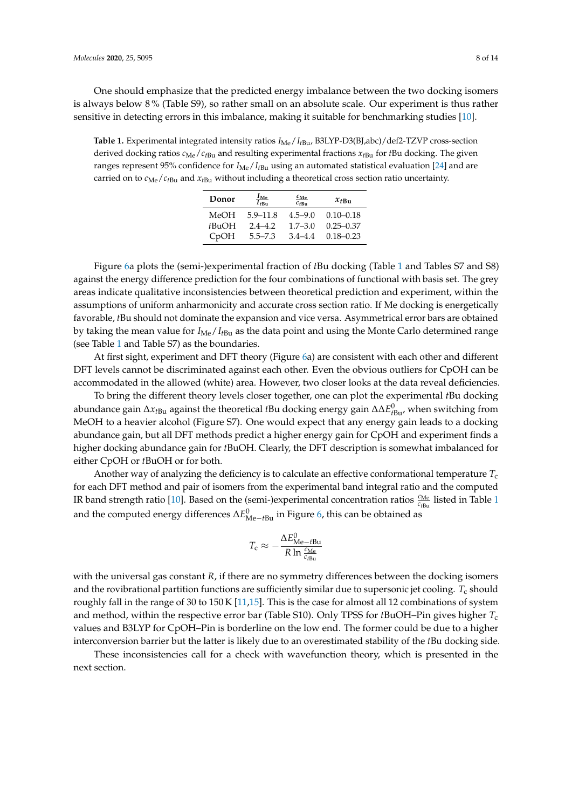One should emphasize that the predicted energy imbalance between the two docking isomers is always below 8 % (Table S9), so rather small on an absolute scale. Our experiment is thus rather sensitive in detecting errors in this imbalance, making it suitable for benchmarking studies [\[10\]](#page-12-2).

<span id="page-7-0"></span>Table 1. Experimental integrated intensity ratios  $I_{Me}/I_{tBu}$ , B3LYP-D3(BJ,abc)/def2-TZVP cross-section derived docking ratios *c*Me/*ct*Bu and resulting experimental fractions *xt*Bu for *t*Bu docking. The given ranges represent 95% confidence for  $I_{Me}/I_{tBu}$  using an automated statistical evaluation [\[24\]](#page-12-15) and are carried on to  $c_{Me}/c_{fBu}$  and  $x_{fBu}$  without including a theoretical cross section ratio uncertainty.

| Donor    | $\frac{I_{\text{Me}}}{I_{t\text{Bu}}}$ | $c_{Me}$<br>$c_{tBu}$ | $x_{tBu}$     |
|----------|----------------------------------------|-----------------------|---------------|
| MeOH     | $5.9 - 11.8$                           | $4.5 - 9.0$           | $0.10 - 0.18$ |
| $t$ BuOH | $2.4 - 4.2$                            | $1.7 - 3.0$           | $0.25 - 0.37$ |
| CpOH     | $5.5 - 7.3$                            | $3.4 - 4.4$           | $0.18 - 0.23$ |

Figure [6a](#page-8-0) plots the (semi-)experimental fraction of *t*Bu docking (Table [1](#page-7-0) and Tables S7 and S8) against the energy difference prediction for the four combinations of functional with basis set. The grey areas indicate qualitative inconsistencies between theoretical prediction and experiment, within the assumptions of uniform anharmonicity and accurate cross section ratio. If Me docking is energetically favorable, *t*Bu should not dominate the expansion and vice versa. Asymmetrical error bars are obtained by taking the mean value for *I*Me/*It*Bu as the data point and using the Monte Carlo determined range (see Table [1](#page-7-0) and Table S7) as the boundaries.

At first sight, experiment and DFT theory (Figure [6a](#page-8-0)) are consistent with each other and different DFT levels cannot be discriminated against each other. Even the obvious outliers for CpOH can be accommodated in the allowed (white) area. However, two closer looks at the data reveal deficiencies.

To bring the different theory levels closer together, one can plot the experimental *t*Bu docking abundance gain ∆*xt*Bu against the theoretical *t*Bu docking energy gain ∆∆*E* 0 *<sup>t</sup>*Bu, when switching from MeOH to a heavier alcohol (Figure S7). One would expect that any energy gain leads to a docking abundance gain, but all DFT methods predict a higher energy gain for CpOH and experiment finds a higher docking abundance gain for *t*BuOH. Clearly, the DFT description is somewhat imbalanced for either CpOH or *t*BuOH or for both.

Another way of analyzing the deficiency is to calculate an effective conformational temperature  $T_c$ for each DFT method and pair of isomers from the experimental band integral ratio and the computed IR band strength ratio [\[10\]](#page-12-2). Based on the (semi-)experimental concentration ratios  $\frac{c_{Me}}{c_{fBu}}$  listed in Table [1](#page-7-0) and the computed energy differences ∆*E* 0 Me−*t*Bu in Figure [6,](#page-8-0) this can be obtained as

$$
T_{\rm c} \approx -\frac{\Delta E_{\rm Me-tBu}^0}{R \ln \frac{c_{\rm Me}}{c_{tBu}}}
$$

with the universal gas constant *R*, if there are no symmetry differences between the docking isomers and the rovibrational partition functions are sufficiently similar due to supersonic jet cooling.  $T_c$  should roughly fall in the range of 30 to 150 K [\[11,](#page-12-3)[15\]](#page-12-7). This is the case for almost all 12 combinations of system and method, within the respective error bar (Table S10). Only TPSS for *t*BuOH–Pin gives higher *T*<sup>c</sup> values and B3LYP for CpOH–Pin is borderline on the low end. The former could be due to a higher interconversion barrier but the latter is likely due to an overestimated stability of the *t*Bu docking side.

These inconsistencies call for a check with wavefunction theory, which is presented in the next section.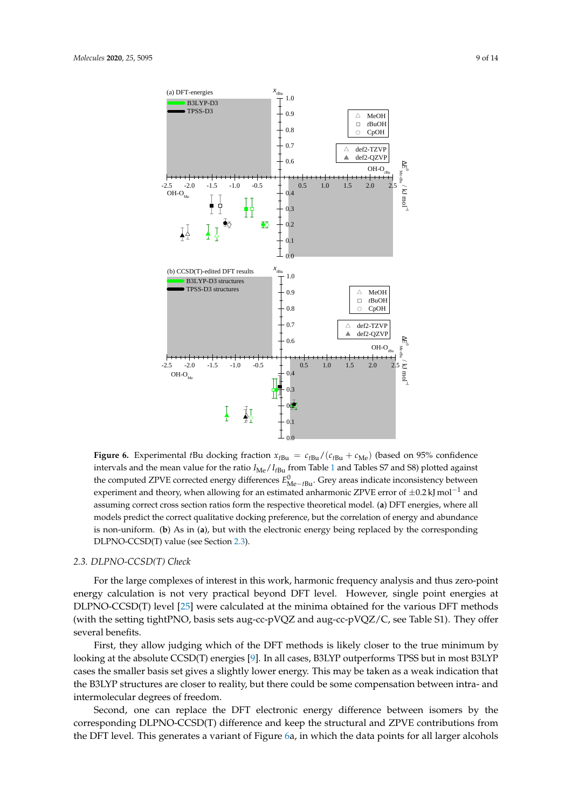<span id="page-8-0"></span>

**Figure 6.** Experimental *t*Bu docking fraction  $x_{tBu} = c_{tBu}/(c_{tBu} + c_{Me})$  (based on 95% confidence intervals and the mean value for the ratio  $I_{\text{Me}}/I_{t\text{Bu}}$  from Table [1](#page-7-0) and Tables S7 and S8) plotted against the computed ZPVE corrected energy differences *E* 0 Me−*t*Bu. Grey areas indicate inconsistency between experiment and theory, when allowing for an estimated anharmonic ZPVE error of  $\pm$ 0.2 kJ mol<sup>-1</sup> and assuming correct cross section ratios form the respective theoretical model. (**a**) DFT energies, where all models predict the correct qualitative docking preference, but the correlation of energy and abundance is non-uniform. (**b**) As in (**a**), but with the electronic energy being replaced by the corresponding DLPNO-CCSD(T) value (see Section [2.3\)](#page-8-1).

## <span id="page-8-1"></span>*2.3. DLPNO-CCSD(T) Check*

For the large complexes of interest in this work, harmonic frequency analysis and thus zero-point energy calculation is not very practical beyond DFT level. However, single point energies at DLPNO-CCSD(T) level [\[25\]](#page-12-16) were calculated at the minima obtained for the various DFT methods (with the setting tightPNO, basis sets aug-cc-pVQZ and aug-cc-pVQZ/C, see Table S1). They offer several benefits.

First, they allow judging which of the DFT methods is likely closer to the true minimum by looking at the absolute CCSD(T) energies [\[9\]](#page-12-1). In all cases, B3LYP outperforms TPSS but in most B3LYP cases the smaller basis set gives a slightly lower energy. This may be taken as a weak indication that the B3LYP structures are closer to reality, but there could be some compensation between intra- and intermolecular degrees of freedom.

Second, one can replace the DFT electronic energy difference between isomers by the corresponding DLPNO-CCSD(T) difference and keep the structural and ZPVE contributions from the DFT level. This generates a variant of Figure [6a](#page-8-0), in which the data points for all larger alcohols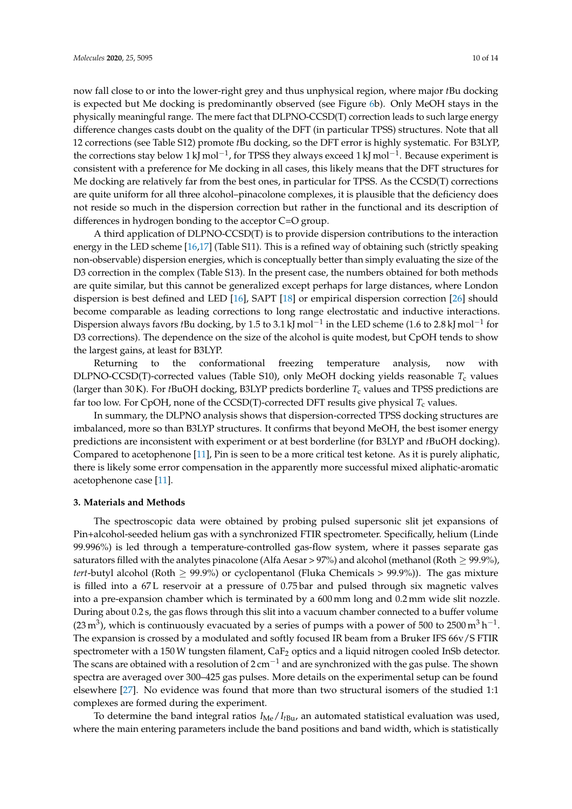now fall close to or into the lower-right grey and thus unphysical region, where major *t*Bu docking is expected but Me docking is predominantly observed (see Figure [6b](#page-8-0)). Only MeOH stays in the physically meaningful range. The mere fact that DLPNO-CCSD(T) correction leads to such large energy difference changes casts doubt on the quality of the DFT (in particular TPSS) structures. Note that all 12 corrections (see Table S12) promote *t*Bu docking, so the DFT error is highly systematic. For B3LYP, the corrections stay below 1 kJ mol<sup>-1</sup>, for TPSS they always exceed 1 kJ mol<sup>-1</sup>. Because experiment is consistent with a preference for Me docking in all cases, this likely means that the DFT structures for Me docking are relatively far from the best ones, in particular for TPSS. As the CCSD(T) corrections are quite uniform for all three alcohol–pinacolone complexes, it is plausible that the deficiency does not reside so much in the dispersion correction but rather in the functional and its description of differences in hydrogen bonding to the acceptor C=O group.

A third application of DLPNO-CCSD(T) is to provide dispersion contributions to the interaction energy in the LED scheme [\[16,](#page-12-8)[17\]](#page-12-17) (Table S11). This is a refined way of obtaining such (strictly speaking non-observable) dispersion energies, which is conceptually better than simply evaluating the size of the D3 correction in the complex (Table S13). In the present case, the numbers obtained for both methods are quite similar, but this cannot be generalized except perhaps for large distances, where London dispersion is best defined and LED [\[16\]](#page-12-8), SAPT [\[18\]](#page-12-9) or empirical dispersion correction [\[26\]](#page-12-18) should become comparable as leading corrections to long range electrostatic and inductive interactions. Dispersion always favors *t*Bu docking, by 1.5 to 3.1 kJ mol−<sup>1</sup> in the LED scheme (1.6 to 2.8 kJ mol−<sup>1</sup> for D3 corrections). The dependence on the size of the alcohol is quite modest, but CpOH tends to show the largest gains, at least for B3LYP.

Returning to the conformational freezing temperature analysis, now with DLPNO-CCSD(T)-corrected values (Table S10), only MeOH docking yields reasonable  $T_c$  values (larger than 30 K). For *t*BuOH docking, B3LYP predicts borderline  $T_c$  values and TPSS predictions are far too low. For CpOH, none of the CCSD(T)-corrected DFT results give physical  $T_c$  values.

In summary, the DLPNO analysis shows that dispersion-corrected TPSS docking structures are imbalanced, more so than B3LYP structures. It confirms that beyond MeOH, the best isomer energy predictions are inconsistent with experiment or at best borderline (for B3LYP and *t*BuOH docking). Compared to acetophenone [\[11\]](#page-12-3), Pin is seen to be a more critical test ketone. As it is purely aliphatic, there is likely some error compensation in the apparently more successful mixed aliphatic-aromatic acetophenone case [\[11\]](#page-12-3).

#### **3. Materials and Methods**

The spectroscopic data were obtained by probing pulsed supersonic slit jet expansions of Pin+alcohol-seeded helium gas with a synchronized FTIR spectrometer. Specifically, helium (Linde 99.996%) is led through a temperature-controlled gas-flow system, where it passes separate gas saturators filled with the analytes pinacolone (Alfa Aesar > 97%) and alcohol (methanol (Roth  $\geq$  99.9%), *tert*-butyl alcohol (Roth  $\geq$  99.9%) or cyclopentanol (Fluka Chemicals  $>$  99.9%)). The gas mixture is filled into a 67 L reservoir at a pressure of 0.75 bar and pulsed through six magnetic valves into a pre-expansion chamber which is terminated by a 600 mm long and 0.2 mm wide slit nozzle. During about 0.2 s, the gas flows through this slit into a vacuum chamber connected to a buffer volume (23 m<sup>3</sup>), which is continuously evacuated by a series of pumps with a power of 500 to 2500 m $^3\rm h^{-1}$ . The expansion is crossed by a modulated and softly focused IR beam from a Bruker IFS 66v/S FTIR spectrometer with a 150 W tungsten filament, CaF<sub>2</sub> optics and a liquid nitrogen cooled InSb detector. The scans are obtained with a resolution of  $2 \text{ cm}^{-1}$  and are synchronized with the gas pulse. The shown spectra are averaged over 300–425 gas pulses. More details on the experimental setup can be found elsewhere [\[27\]](#page-12-19). No evidence was found that more than two structural isomers of the studied 1:1 complexes are formed during the experiment.

To determine the band integral ratios  $I_{\text{Me}}/I_{t\text{Bu}}$ , an automated statistical evaluation was used, where the main entering parameters include the band positions and band width, which is statistically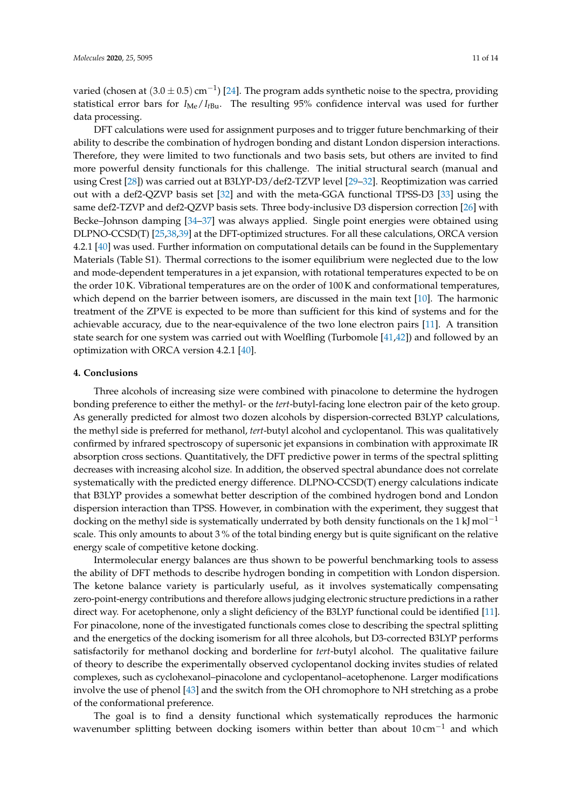varied (chosen at  $(3.0 \pm 0.5)\,\text{cm}^{-1}$ ) [\[24\]](#page-12-15). The program adds synthetic noise to the spectra, providing statistical error bars for  $I_{\text{Me}}/I_{t\text{Bu}}$ . The resulting 95% confidence interval was used for further data processing.

DFT calculations were used for assignment purposes and to trigger future benchmarking of their ability to describe the combination of hydrogen bonding and distant London dispersion interactions. Therefore, they were limited to two functionals and two basis sets, but others are invited to find more powerful density functionals for this challenge. The initial structural search (manual and using Crest [\[28\]](#page-13-0)) was carried out at B3LYP-D3/def2-TZVP level [\[29–](#page-13-1)[32\]](#page-13-2). Reoptimization was carried out with a def2-QZVP basis set [\[32\]](#page-13-2) and with the meta-GGA functional TPSS-D3 [\[33\]](#page-13-3) using the same def2-TZVP and def2-QZVP basis sets. Three body-inclusive D3 dispersion correction [\[26\]](#page-12-18) with Becke–Johnson damping [\[34](#page-13-4)[–37\]](#page-13-5) was always applied. Single point energies were obtained using DLPNO-CCSD(T) [\[25](#page-12-16)[,38](#page-13-6)[,39\]](#page-13-7) at the DFT-optimized structures. For all these calculations, ORCA version 4.2.1 [\[40\]](#page-13-8) was used. Further information on computational details can be found in the Supplementary Materials (Table S1). Thermal corrections to the isomer equilibrium were neglected due to the low and mode-dependent temperatures in a jet expansion, with rotational temperatures expected to be on the order 10 K. Vibrational temperatures are on the order of 100 K and conformational temperatures, which depend on the barrier between isomers, are discussed in the main text [\[10\]](#page-12-2). The harmonic treatment of the ZPVE is expected to be more than sufficient for this kind of systems and for the achievable accuracy, due to the near-equivalence of the two lone electron pairs [\[11\]](#page-12-3). A transition state search for one system was carried out with Woelfling (Turbomole [\[41,](#page-13-9)[42\]](#page-13-10)) and followed by an optimization with ORCA version 4.2.1 [\[40\]](#page-13-8).

## **4. Conclusions**

Three alcohols of increasing size were combined with pinacolone to determine the hydrogen bonding preference to either the methyl- or the *tert*-butyl-facing lone electron pair of the keto group. As generally predicted for almost two dozen alcohols by dispersion-corrected B3LYP calculations, the methyl side is preferred for methanol, *tert*-butyl alcohol and cyclopentanol. This was qualitatively confirmed by infrared spectroscopy of supersonic jet expansions in combination with approximate IR absorption cross sections. Quantitatively, the DFT predictive power in terms of the spectral splitting decreases with increasing alcohol size. In addition, the observed spectral abundance does not correlate systematically with the predicted energy difference. DLPNO-CCSD(T) energy calculations indicate that B3LYP provides a somewhat better description of the combined hydrogen bond and London dispersion interaction than TPSS. However, in combination with the experiment, they suggest that docking on the methyl side is systematically underrated by both density functionals on the 1 kJ mol<sup>-1</sup> scale. This only amounts to about 3 % of the total binding energy but is quite significant on the relative energy scale of competitive ketone docking.

Intermolecular energy balances are thus shown to be powerful benchmarking tools to assess the ability of DFT methods to describe hydrogen bonding in competition with London dispersion. The ketone balance variety is particularly useful, as it involves systematically compensating zero-point-energy contributions and therefore allows judging electronic structure predictions in a rather direct way. For acetophenone, only a slight deficiency of the B3LYP functional could be identified [\[11\]](#page-12-3). For pinacolone, none of the investigated functionals comes close to describing the spectral splitting and the energetics of the docking isomerism for all three alcohols, but D3-corrected B3LYP performs satisfactorily for methanol docking and borderline for *tert*-butyl alcohol. The qualitative failure of theory to describe the experimentally observed cyclopentanol docking invites studies of related complexes, such as cyclohexanol–pinacolone and cyclopentanol–acetophenone. Larger modifications involve the use of phenol [\[43\]](#page-13-11) and the switch from the OH chromophore to NH stretching as a probe of the conformational preference.

The goal is to find a density functional which systematically reproduces the harmonic wavenumber splitting between docking isomers within better than about  $10 \text{ cm}^{-1}$  and which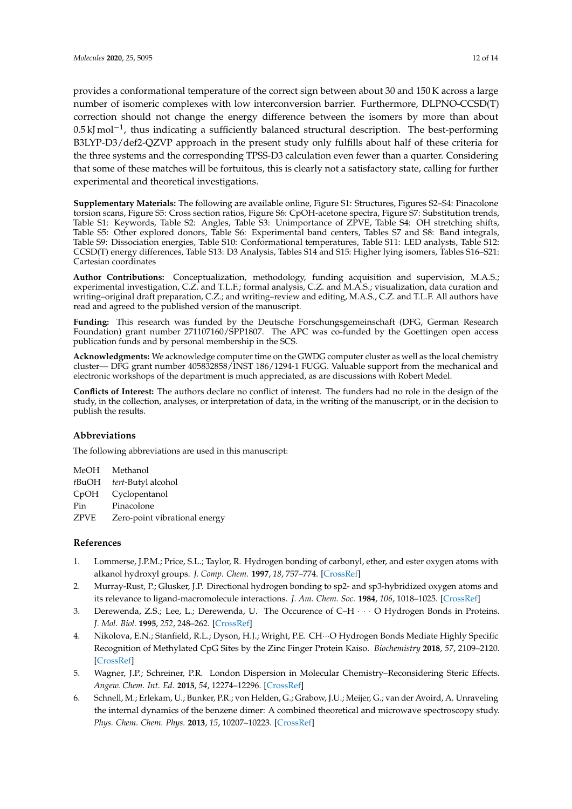provides a conformational temperature of the correct sign between about 30 and 150 K across a large number of isomeric complexes with low interconversion barrier. Furthermore, DLPNO-CCSD(T) correction should not change the energy difference between the isomers by more than about 0.5 kJ mol<sup>-1</sup>, thus indicating a sufficiently balanced structural description. The best-performing B3LYP-D3/def2-QZVP approach in the present study only fulfills about half of these criteria for the three systems and the corresponding TPSS-D3 calculation even fewer than a quarter. Considering that some of these matches will be fortuitous, this is clearly not a satisfactory state, calling for further experimental and theoretical investigations.

**Supplementary Materials:** The following are available online, Figure S1: Structures, Figures S2–S4: Pinacolone torsion scans, Figure S5: Cross section ratios, Figure S6: CpOH-acetone spectra, Figure S7: Substitution trends, Table S1: Keywords, Table S2: Angles, Table S3: Unimportance of ZPVE, Table S4: OH stretching shifts, Table S5: Other explored donors, Table S6: Experimental band centers, Tables S7 and S8: Band integrals, Table S9: Dissociation energies, Table S10: Conformational temperatures, Table S11: LED analysts, Table S12: CCSD(T) energy differences, Table S13: D3 Analysis, Tables S14 and S15: Higher lying isomers, Tables S16–S21: Cartesian coordinates

**Author Contributions:** Conceptualization, methodology, funding acquisition and supervision, M.A.S.; experimental investigation, C.Z. and T.L.F.; formal analysis, C.Z. and M.A.S.; visualization, data curation and writing–original draft preparation, C.Z.; and writing–review and editing, M.A.S., C.Z. and T.L.F. All authors have read and agreed to the published version of the manuscript.

**Funding:** This research was funded by the Deutsche Forschungsgemeinschaft (DFG, German Research Foundation) grant number 271107160/SPP1807. The APC was co-funded by the Goettingen open access publication funds and by personal membership in the SCS.

**Acknowledgments:** We acknowledge computer time on the GWDG computer cluster as well as the local chemistry cluster— DFG grant number 405832858/INST 186/1294-1 FUGG. Valuable support from the mechanical and electronic workshops of the department is much appreciated, as are discussions with Robert Medel.

**Conflicts of Interest:** The authors declare no conflict of interest. The funders had no role in the design of the study, in the collection, analyses, or interpretation of data, in the writing of the manuscript, or in the decision to publish the results.

## **Abbreviations**

The following abbreviations are used in this manuscript:

MeOH Methanol *t*BuOH *tert*-Butyl alcohol CpOH Cyclopentanol Pin Pinacolone ZPVE Zero-point vibrational energy

## **References**

- <span id="page-11-0"></span>1. Lommerse, J.P.M.; Price, S.L.; Taylor, R. Hydrogen bonding of carbonyl, ether, and ester oxygen atoms with alkanol hydroxyl groups. *J. Comp. Chem.* **1997**, *18*, 757–774. [\[CrossRef\]](http://dx.doi.org/10.1002/(SICI)1096-987X(19970430)18:6<757::AID-JCC3>3.0.CO;2-R)
- <span id="page-11-1"></span>2. Murray-Rust, P.; Glusker, J.P. Directional hydrogen bonding to sp2- and sp3-hybridized oxygen atoms and its relevance to ligand-macromolecule interactions. *J. Am. Chem. Soc.* **1984**, *106*, 1018–1025. [\[CrossRef\]](http://dx.doi.org/10.1021/ja00316a034)
- <span id="page-11-2"></span>3. Derewenda, Z.S.; Lee, L.; Derewenda, U. The Occurence of C–H · · · O Hydrogen Bonds in Proteins. *J. Mol. Biol.* **1995**, *252*, 248–262. [\[CrossRef\]](http://dx.doi.org/10.1006/jmbi.1995.0492)
- <span id="page-11-3"></span>4. Nikolova, E.N.; Stanfield, R.L.; Dyson, H.J.; Wright, P.E. CH···O Hydrogen Bonds Mediate Highly Specific Recognition of Methylated CpG Sites by the Zinc Finger Protein Kaiso. *Biochemistry* **2018**, *57*, 2109–2120. [\[CrossRef\]](http://dx.doi.org/10.1021/acs.biochem.8b00065)
- <span id="page-11-4"></span>5. Wagner, J.P.; Schreiner, P.R. London Dispersion in Molecular Chemistry–Reconsidering Steric Effects. *Angew. Chem. Int. Ed.* **2015**, *54*, 12274–12296. [\[CrossRef\]](http://dx.doi.org/10.1002/anie.201503476)
- <span id="page-11-5"></span>6. Schnell, M.; Erlekam, U.; Bunker, P.R.; von Helden, G.; Grabow, J.U.; Meijer, G.; van der Avoird, A. Unraveling the internal dynamics of the benzene dimer: A combined theoretical and microwave spectroscopy study. *Phys. Chem. Chem. Phys.* **2013**, *15*, 10207–10223. [\[CrossRef\]](http://dx.doi.org/10.1039/C3CP51181B)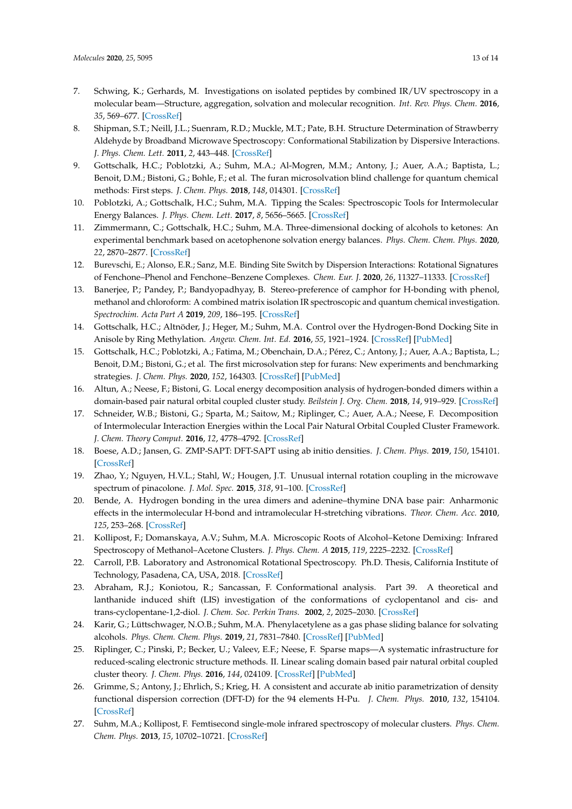- 7. Schwing, K.; Gerhards, M. Investigations on isolated peptides by combined IR/UV spectroscopy in a molecular beam—Structure, aggregation, solvation and molecular recognition. *Int. Rev. Phys. Chem.* **2016**, *35*, 569–677. [\[CrossRef\]](http://dx.doi.org/10.1080/0144235X.2016.1229331)
- <span id="page-12-0"></span>8. Shipman, S.T.; Neill, J.L.; Suenram, R.D.; Muckle, M.T.; Pate, B.H. Structure Determination of Strawberry Aldehyde by Broadband Microwave Spectroscopy: Conformational Stabilization by Dispersive Interactions. *J. Phys. Chem. Lett.* **2011**, *2*, 443–448. [\[CrossRef\]](http://dx.doi.org/10.1021/jz200031w)
- <span id="page-12-1"></span>9. Gottschalk, H.C.; Poblotzki, A.; Suhm, M.A.; Al-Mogren, M.M.; Antony, J.; Auer, A.A.; Baptista, L.; Benoit, D.M.; Bistoni, G.; Bohle, F.; et al. The furan microsolvation blind challenge for quantum chemical methods: First steps. *J. Chem. Phys.* **2018**, *148*, 014301. [\[CrossRef\]](http://dx.doi.org/10.1063/1.5009011)
- <span id="page-12-2"></span>10. Poblotzki, A.; Gottschalk, H.C.; Suhm, M.A. Tipping the Scales: Spectroscopic Tools for Intermolecular Energy Balances. *J. Phys. Chem. Lett.* **2017**, *8*, 5656–5665. [\[CrossRef\]](http://dx.doi.org/10.1021/acs.jpclett.7b02337)
- <span id="page-12-3"></span>11. Zimmermann, C.; Gottschalk, H.C.; Suhm, M.A. Three-dimensional docking of alcohols to ketones: An experimental benchmark based on acetophenone solvation energy balances. *Phys. Chem. Chem. Phys.* **2020**, *22*, 2870–2877. [\[CrossRef\]](http://dx.doi.org/10.1039/C9CP06128B)
- <span id="page-12-4"></span>12. Burevschi, E.; Alonso, E.R.; Sanz, M.E. Binding Site Switch by Dispersion Interactions: Rotational Signatures of Fenchone–Phenol and Fenchone–Benzene Complexes. *Chem. Eur. J.* **2020**, *26*, 11327–11333. [\[CrossRef\]](http://dx.doi.org/10.1002/chem.202001713)
- <span id="page-12-5"></span>13. Banerjee, P.; Pandey, P.; Bandyopadhyay, B. Stereo-preference of camphor for H-bonding with phenol, methanol and chloroform: A combined matrix isolation IR spectroscopic and quantum chemical investigation. *Spectrochim. Acta Part A* **2019**, *209*, 186–195. [\[CrossRef\]](http://dx.doi.org/10.1016/j.saa.2018.10.031)
- <span id="page-12-6"></span>14. Gottschalk, H.C.; Altnöder, J.; Heger, M.; Suhm, M.A. Control over the Hydrogen-Bond Docking Site in Anisole by Ring Methylation. *Angew. Chem. Int. Ed.* **2016**, *55*, 1921–1924. [\[CrossRef\]](http://dx.doi.org/10.1002/anie.201508481) [\[PubMed\]](http://www.ncbi.nlm.nih.gov/pubmed/26695475)
- <span id="page-12-7"></span>15. Gottschalk, H.C.; Poblotzki, A.; Fatima, M.; Obenchain, D.A.; Pérez, C.; Antony, J.; Auer, A.A.; Baptista, L.; Benoit, D.M.; Bistoni, G.; et al. The first microsolvation step for furans: New experiments and benchmarking strategies. *J. Chem. Phys.* **2020**, *152*, 164303. [\[CrossRef\]](http://dx.doi.org/10.1063/5.0004465) [\[PubMed\]](http://www.ncbi.nlm.nih.gov/pubmed/32357787)
- <span id="page-12-8"></span>16. Altun, A.; Neese, F.; Bistoni, G. Local energy decomposition analysis of hydrogen-bonded dimers within a domain-based pair natural orbital coupled cluster study. *Beilstein J. Org. Chem.* **2018**, *14*, 919–929. [\[CrossRef\]](http://dx.doi.org/10.3762/bjoc.14.79)
- <span id="page-12-17"></span>17. Schneider, W.B.; Bistoni, G.; Sparta, M.; Saitow, M.; Riplinger, C.; Auer, A.A.; Neese, F. Decomposition of Intermolecular Interaction Energies within the Local Pair Natural Orbital Coupled Cluster Framework. *J. Chem. Theory Comput.* **2016**, *12*, 4778–4792. [\[CrossRef\]](http://dx.doi.org/10.1021/acs.jctc.6b00523)
- <span id="page-12-9"></span>18. Boese, A.D.; Jansen, G. ZMP-SAPT: DFT-SAPT using ab initio densities. *J. Chem. Phys.* **2019**, *150*, 154101. [\[CrossRef\]](http://dx.doi.org/10.1063/1.5087208)
- <span id="page-12-10"></span>19. Zhao, Y.; Nguyen, H.V.L.; Stahl, W.; Hougen, J.T. Unusual internal rotation coupling in the microwave spectrum of pinacolone. *J. Mol. Spec.* **2015**, *318*, 91–100. [\[CrossRef\]](http://dx.doi.org/10.1016/j.jms.2015.10.005)
- <span id="page-12-11"></span>20. Bende, A. Hydrogen bonding in the urea dimers and adenine–thymine DNA base pair: Anharmonic effects in the intermolecular H-bond and intramolecular H-stretching vibrations. *Theor. Chem. Acc.* **2010**, *125*, 253–268. [\[CrossRef\]](http://dx.doi.org/10.1007/s00214-009-0645-6)
- <span id="page-12-12"></span>21. Kollipost, F.; Domanskaya, A.V.; Suhm, M.A. Microscopic Roots of Alcohol–Ketone Demixing: Infrared Spectroscopy of Methanol–Acetone Clusters. *J. Phys. Chem. A* **2015**, *119*, 2225–2232. [\[CrossRef\]](http://dx.doi.org/10.1021/jp503999b)
- <span id="page-12-13"></span>22. Carroll, P.B. Laboratory and Astronomical Rotational Spectroscopy. Ph.D. Thesis, California Institute of Technology, Pasadena, CA, USA, 2018. [\[CrossRef\]](http://dx.doi.org/10.7907/8Y1M-6C76)
- <span id="page-12-14"></span>23. Abraham, R.J.; Koniotou, R.; Sancassan, F. Conformational analysis. Part 39. A theoretical and lanthanide induced shift (LIS) investigation of the conformations of cyclopentanol and cis- and trans-cyclopentane-1,2-diol. *J. Chem. Soc. Perkin Trans.* **2002**, *2*, 2025–2030. [\[CrossRef\]](http://dx.doi.org/10.1039/b207841b)
- <span id="page-12-15"></span>24. Karir, G.; Lüttschwager, N.O.B.; Suhm, M.A. Phenylacetylene as a gas phase sliding balance for solvating alcohols. *Phys. Chem. Chem. Phys.* **2019**, *21*, 7831–7840. [\[CrossRef\]](http://dx.doi.org/10.1039/C9CP00435A) [\[PubMed\]](http://www.ncbi.nlm.nih.gov/pubmed/30933202)
- <span id="page-12-16"></span>25. Riplinger, C.; Pinski, P.; Becker, U.; Valeev, E.F.; Neese, F. Sparse maps—A systematic infrastructure for reduced-scaling electronic structure methods. II. Linear scaling domain based pair natural orbital coupled cluster theory. *J. Chem. Phys.* **2016**, *144*, 024109. [\[CrossRef\]](http://dx.doi.org/10.1063/1.4939030) [\[PubMed\]](http://www.ncbi.nlm.nih.gov/pubmed/26772556)
- <span id="page-12-18"></span>26. Grimme, S.; Antony, J.; Ehrlich, S.; Krieg, H. A consistent and accurate ab initio parametrization of density functional dispersion correction (DFT-D) for the 94 elements H-Pu. *J. Chem. Phys.* **2010**, *132*, 154104. [\[CrossRef\]](http://dx.doi.org/10.1063/1.3382344)
- <span id="page-12-19"></span>27. Suhm, M.A.; Kollipost, F. Femtisecond single-mole infrared spectroscopy of molecular clusters. *Phys. Chem. Chem. Phys.* **2013**, *15*, 10702–10721. [\[CrossRef\]](http://dx.doi.org/10.1039/c3cp51515j)